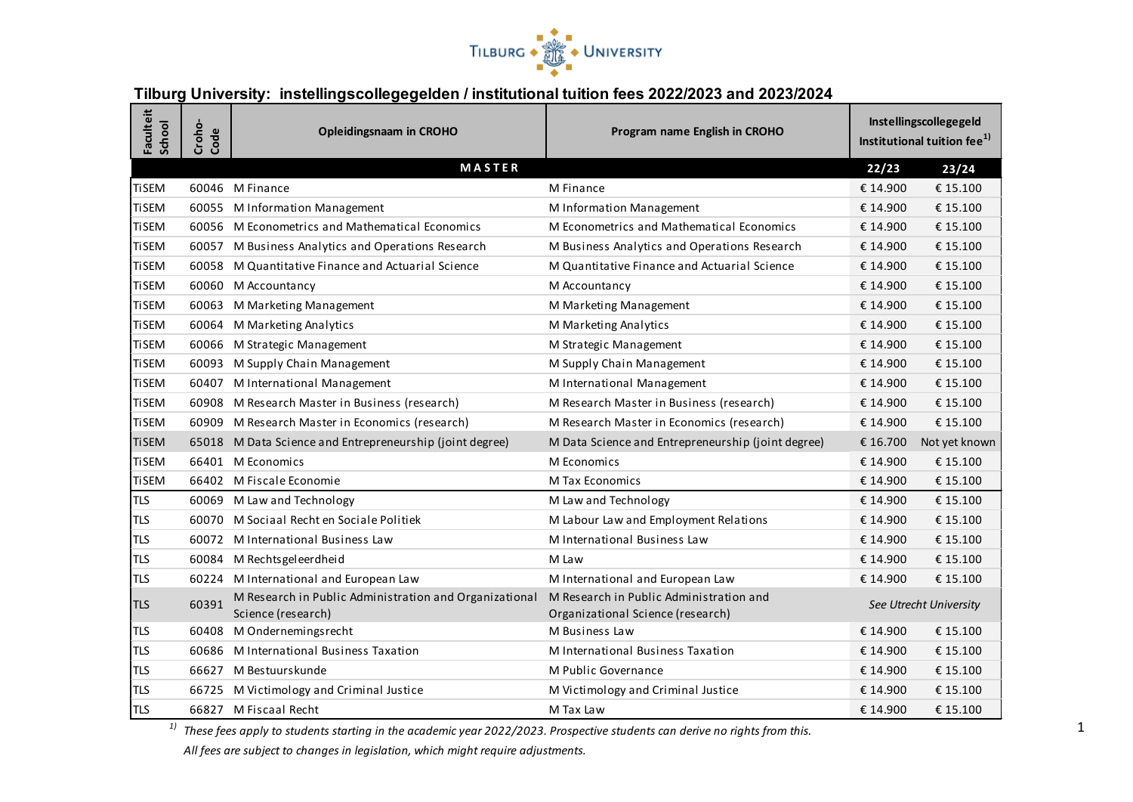

## **Tilburg University: instellingscollegegelden / institutional tuition fees 2022/2023 and 2023/2024**

| Faculteit<br>School | Croho-<br>Code | <b>Opleidingsnaam in CROHO</b>                                               | Program name English in CROHO                                                | Instellingscollegegeld<br>Institutional tuition fee <sup>1)</sup> |               |
|---------------------|----------------|------------------------------------------------------------------------------|------------------------------------------------------------------------------|-------------------------------------------------------------------|---------------|
|                     |                | <b>MASTER</b>                                                                |                                                                              | 22/23                                                             | 23/24         |
| <b>TiSEM</b>        |                | 60046 M Finance                                                              | M Finance                                                                    | € 14.900                                                          | € 15.100      |
| <b>TiSEM</b>        |                | 60055 M Information Management                                               | M Information Management                                                     | € 14.900                                                          | € 15.100      |
| <b>TiSEM</b>        |                | 60056 M Econometrics and Mathematical Economics                              | M Econometrics and Mathematical Economics                                    | € 14.900                                                          | € 15.100      |
| <b>TiSEM</b>        |                | 60057 M Business Analytics and Operations Research                           | M Business Analytics and Operations Research                                 | € 14.900                                                          | € 15.100      |
| <b>TiSEM</b>        | 60058          | M Quantitative Finance and Actuarial Science                                 | M Quantitative Finance and Actuarial Science                                 | € 14.900                                                          | € 15.100      |
| <b>TiSEM</b>        |                | 60060 M Accountancy                                                          | M Accountancy                                                                | € 14.900                                                          | € 15.100      |
| <b>TiSEM</b>        |                | 60063 M Marketing Management                                                 | M Marketing Management                                                       | € 14.900                                                          | € 15.100      |
| <b>TiSEM</b>        |                | 60064 M Marketing Analytics                                                  | M Marketing Analytics                                                        | € 14.900                                                          | € 15.100      |
| <b>TiSEM</b>        |                | 60066 M Strategic Management                                                 | M Strategic Management                                                       | € 14.900                                                          | € 15.100      |
| <b>TiSEM</b>        | 60093          | M Supply Chain Management                                                    | M Supply Chain Management                                                    | € 14.900                                                          | € 15.100      |
| <b>TiSEM</b>        |                | 60407 M International Management                                             | M International Management                                                   | € 14.900                                                          | € 15.100      |
| <b>TiSEM</b>        |                | 60908 M Research Master in Business (research)                               | M Research Master in Business (research)                                     | € 14.900                                                          | € 15.100      |
| <b>TiSEM</b>        |                | 60909 M Research Master in Economics (research)                              | M Research Master in Economics (research)                                    | € 14.900                                                          | € 15.100      |
| <b>TiSEM</b>        |                | 65018 M Data Science and Entrepreneurship (joint degree)                     | M Data Science and Entrepreneurship (joint degree)                           | € 16.700                                                          | Not yet known |
| <b>TiSEM</b>        |                | 66401 M Economics                                                            | M Economics                                                                  | € 14.900                                                          | € 15.100      |
| <b>TiSEM</b>        |                | 66402 M Fiscale Economie                                                     | M Tax Economics                                                              | € 14.900                                                          | € 15.100      |
| <b>TLS</b>          |                | 60069 M Law and Technology                                                   | M Law and Technology                                                         | € 14.900                                                          | € 15.100      |
| <b>TLS</b>          |                | 60070 M Sociaal Recht en Sociale Politiek                                    | M Labour Law and Employment Relations                                        | € 14.900                                                          | € 15.100      |
| <b>TLS</b>          |                | 60072 M International Business Law                                           | M International Business Law                                                 | € 14.900                                                          | € 15.100      |
| <b>TLS</b>          |                | 60084 M Rechtsgeleerdheid                                                    | M Law                                                                        | € 14.900                                                          | € 15.100      |
| <b>TLS</b>          |                | 60224 M International and European Law                                       | M International and European Law                                             | € 14.900                                                          | € 15.100      |
| <b>TLS</b>          | 60391          | M Research in Public Administration and Organizational<br>Science (research) | M Research in Public Administration and<br>Organizational Science (research) | See Utrecht University                                            |               |
| <b>TLS</b>          |                | 60408 M Ondernemingsrecht                                                    | M Business Law                                                               | € 14.900                                                          | € 15.100      |
| <b>TLS</b>          |                | 60686 M International Business Taxation                                      | M International Business Taxation                                            | € 14.900                                                          | € 15.100      |
| <b>TLS</b>          |                | 66627 M Bestuurskunde                                                        | M Public Governance                                                          | € 14.900                                                          | € 15.100      |
| <b>TLS</b>          |                | 66725 M Victimology and Criminal Justice                                     | M Victimology and Criminal Justice                                           | € 14.900                                                          | € 15.100      |
| <b>TLS</b>          |                | 66827 M Fiscaal Recht                                                        | M Tax Law                                                                    | € 14.900                                                          | € 15.100      |

*1) These fees apply to students starting in the academic year 2022/2023. Prospective students can derive no rights from this.* 

*All fees are subject to changes in legislation, which might require adjustments.*